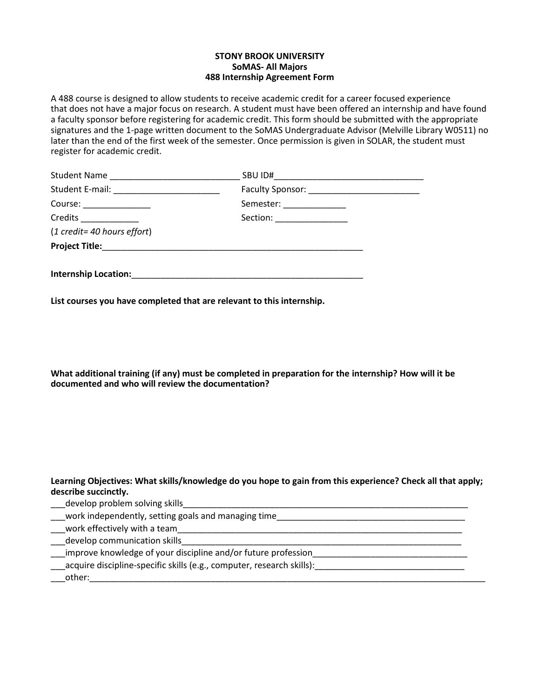## **STONY BROOK UNIVERSITY SoMAS- All Majors 488 Internship Agreement Form**

A 488 course is designed to allow students to receive academic credit for a career focused experience that does not have a major focus on research. A student must have been offered an internship and have found a faculty sponsor before registering for academic credit. This form should be submitted with the appropriate signatures and the 1-page written document to the SoMAS Undergraduate Advisor (Melville Library W0511) no later than the end of the first week of the semester. Once permission is given in SOLAR, the student must register for academic credit.

| Student Name                |                            |  |
|-----------------------------|----------------------------|--|
|                             |                            |  |
| Course: ________________    | Semester: _______________  |  |
| Credits ____________        | Section: _________________ |  |
| (1 credit= 40 hours effort) |                            |  |
|                             |                            |  |
|                             |                            |  |
| <b>Internship Location:</b> |                            |  |

**List courses you have completed that are relevant to this internship.**

**What additional training (if any) must be completed in preparation for the internship? How will it be documented and who will review the documentation?**

## **Learning Objectives: What skills/knowledge do you hope to gain from this experience? Check all that apply; describe succinctly.**